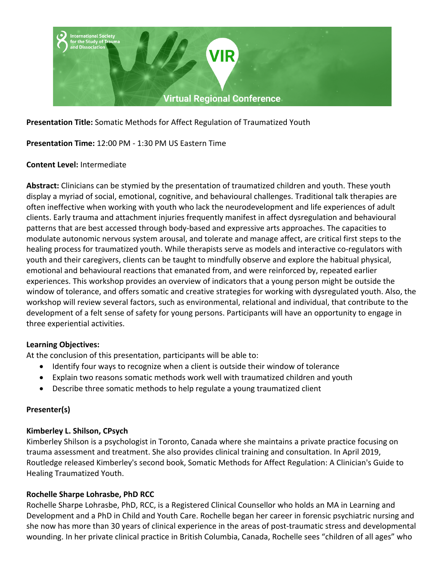

**Presentation Title:** Somatic Methods for Affect Regulation of Traumatized Youth

# **Presentation Time:** 12:00 PM - 1:30 PM US Eastern Time

## **Content Level:** Intermediate

**Abstract:** Clinicians can be stymied by the presentation of traumatized children and youth. These youth display a myriad of social, emotional, cognitive, and behavioural challenges. Traditional talk therapies are often ineffective when working with youth who lack the neurodevelopment and life experiences of adult clients. Early trauma and attachment injuries frequently manifest in affect dysregulation and behavioural patterns that are best accessed through body-based and expressive arts approaches. The capacities to modulate autonomic nervous system arousal, and tolerate and manage affect, are critical first steps to the healing process for traumatized youth. While therapists serve as models and interactive co-regulators with youth and their caregivers, clients can be taught to mindfully observe and explore the habitual physical, emotional and behavioural reactions that emanated from, and were reinforced by, repeated earlier experiences. This workshop provides an overview of indicators that a young person might be outside the window of tolerance, and offers somatic and creative strategies for working with dysregulated youth. Also, the workshop will review several factors, such as environmental, relational and individual, that contribute to the development of a felt sense of safety for young persons. Participants will have an opportunity to engage in three experiential activities.

### **Learning Objectives:**

At the conclusion of this presentation, participants will be able to:

- Identify four ways to recognize when a client is outside their window of tolerance
- Explain two reasons somatic methods work well with traumatized children and youth
- Describe three somatic methods to help regulate a young traumatized client

### **Presenter(s)**

### **Kimberley L. Shilson, CPsych**

Kimberley Shilson is a psychologist in Toronto, Canada where she maintains a private practice focusing on trauma assessment and treatment. She also provides clinical training and consultation. In April 2019, Routledge released Kimberley's second book, Somatic Methods for Affect Regulation: A Clinician's Guide to Healing Traumatized Youth.

### **Rochelle Sharpe Lohrasbe, PhD RCC**

Rochelle Sharpe Lohrasbe, PhD, RCC, is a Registered Clinical Counsellor who holds an MA in Learning and Development and a PhD in Child and Youth Care. Rochelle began her career in forensic psychiatric nursing and she now has more than 30 years of clinical experience in the areas of post-traumatic stress and developmental wounding. In her private clinical practice in British Columbia, Canada, Rochelle sees "children of all ages" who